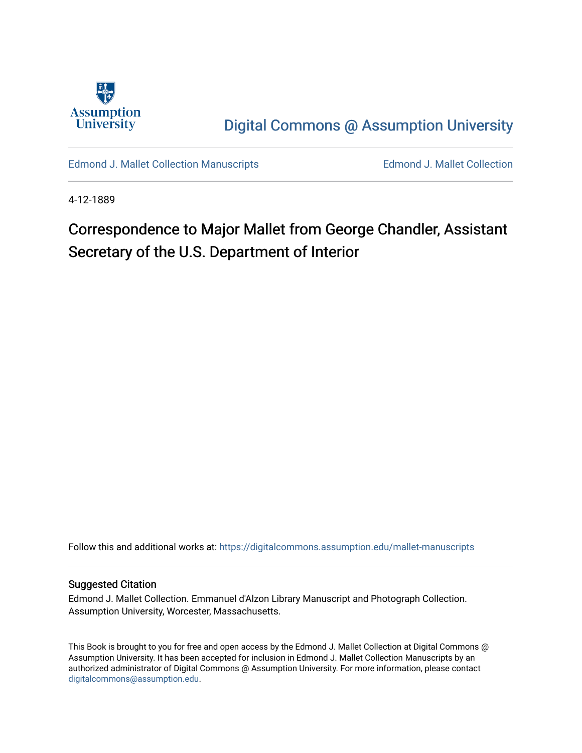

[Digital Commons @ Assumption University](https://digitalcommons.assumption.edu/) 

[Edmond J. Mallet Collection Manuscripts](https://digitalcommons.assumption.edu/mallet-manuscripts) **Edmond J. Mallet Collection** 

4-12-1889

# Correspondence to Major Mallet from George Chandler, Assistant Secretary of the U.S. Department of Interior

Follow this and additional works at: [https://digitalcommons.assumption.edu/mallet-manuscripts](https://digitalcommons.assumption.edu/mallet-manuscripts?utm_source=digitalcommons.assumption.edu%2Fmallet-manuscripts%2F85&utm_medium=PDF&utm_campaign=PDFCoverPages) 

#### Suggested Citation

Edmond J. Mallet Collection. Emmanuel d'Alzon Library Manuscript and Photograph Collection. Assumption University, Worcester, Massachusetts.

This Book is brought to you for free and open access by the Edmond J. Mallet Collection at Digital Commons @ Assumption University. It has been accepted for inclusion in Edmond J. Mallet Collection Manuscripts by an authorized administrator of Digital Commons @ Assumption University. For more information, please contact [digitalcommons@assumption.edu](mailto:digitalcommons@assumption.edu).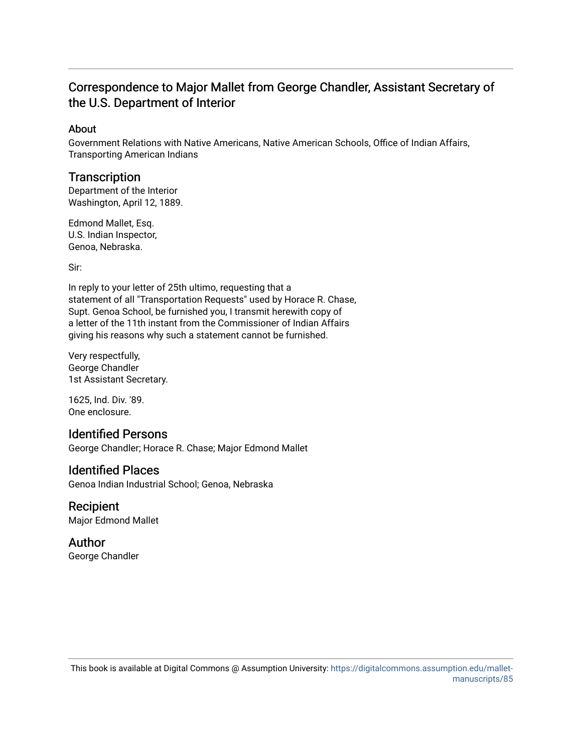## Correspondence to Major Mallet from George Chandler, Assistant Secretary of the U.S. Department of Interior

#### About

Government Relations with Native Americans, Native American Schools, Office of Indian Affairs, Transporting American Indians

## **Transcription**

Department of the Interior Washington, April 12, 1889.

Edmond Mallet, Esq. U.S. Indian Inspector, Genoa, Nebraska.

Sir:

In reply to your letter of 25th ultimo, requesting that a statement of all "Transportation Requests" used by Horace R. Chase, Supt. Genoa School, be furnished you, I transmit herewith copy of a letter of the 11th instant from the Commissioner of Indian Affairs giving his reasons why such a statement cannot be furnished.

Very respectfully, George Chandler 1st Assistant Secretary.

1625, Ind. Div. '89. One enclosure.

## Identified Persons

George Chandler; Horace R. Chase; Major Edmond Mallet

### Identified Places

Genoa Indian Industrial School; Genoa, Nebraska

Recipient Major Edmond Mallet

Author George Chandler